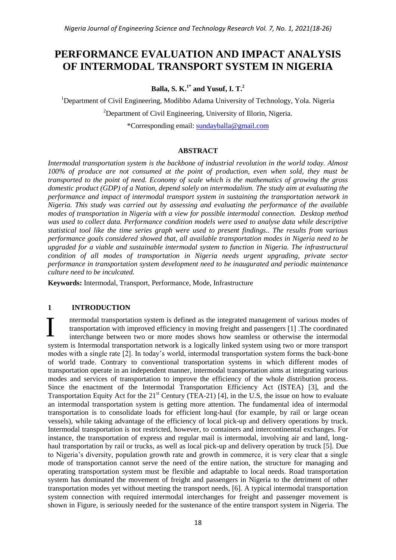# **PERFORMANCE EVALUATION AND IMPACT ANALYSIS OF INTERMODAL TRANSPORT SYSTEM IN NIGERIA**

**Balla, S. K.1\* and Yusuf, I. T.<sup>2</sup>**

<sup>1</sup>Department of Civil Engineering, Modibbo Adama University of Technology, Yola, Nigeria

<sup>2</sup>Department of Civil Engineering, University of Illorin, Nigeria.

\*Corresponding email: [sundayballa@gmail.com](mailto:sundayballa@gmail.com)

# **ABSTRACT**

*Intermodal transportation system is the backbone of industrial revolution in the world today. Almost 100% of produce are not consumed at the point of production, even when sold, they must be transported to the point of need. Economy of scale which is the mathematics of growing the gross domestic product (GDP) of a Nation, depend solely on intermodalism. The study aim at evaluating the performance and impact of intermodal transport system in sustaining the transportation network in Nigeria. This study was carried out by assessing and evaluating the performance of the available modes of transportation in Nigeria with a view for possible intermodal connection. Desktop method was used to collect data. Performance condition models were used to analyse data while descriptive statistical tool like the time series graph were used to present findings.. The results from various performance goals considered showed that, all available transportation modes in Nigeria need to be upgraded for a viable and sustainable intermodal system to function in Nigeria. The infrastructural condition of all modes of transportation in Nigeria needs urgent upgrading, private sector performance in transportation system development need to be inaugurated and periodic maintenance culture need to be inculcated.*

**Keywords:** Intermodal, Transport, Performance, Mode, Infrastructure

# **1 INTRODUCTION**

ntermodal transportation system is defined as the integrated management of various modes of transportation with improved efficiency in moving freight and passengers [1] .The coordinated interchange between two or more modes shows how seamless or otherwise the intermodal system is Intermodal transportation network is a logically linked system using two or more transport modes with a single rate [2]. In today's world, intermodal transportation system forms the back-bone of world trade. Contrary to conventional transportation systems in which different modes of transportation operate in an independent manner, intermodal transportation aims at integrating various modes and services of transportation to improve the efficiency of the whole distribution process. Since the enactment of the Intermodal Transportation Efficiency Act (ISTEA) [3], and the Transportation Equity Act for the 21<sup>st</sup> Century (TEA-21) [4], in the U.S, the issue on how to evaluate an intermodal transportation system is getting more attention. The fundamental idea of intermodal transportation is to consolidate loads for efficient long-haul (for example, by rail or large ocean vessels), while taking advantage of the efficiency of local pick-up and delivery operations by truck. Intermodal transportation is not restricted, however, to containers and intercontinental exchanges. For instance, the transportation of express and regular mail is intermodal, involving air and land, longhaul transportation by rail or trucks, as well as local pick-up and delivery operation by truck [5]. Due to Nigeria's diversity, population growth rate and growth in commerce, it is very clear that a single mode of transportation cannot serve the need of the entire nation, the structure for managing and operating transportation system must be flexible and adaptable to local needs. Road transportation system has dominated the movement of freight and passengers in Nigeria to the detriment of other transportation modes yet without meeting the transport needs, [6]. A typical intermodal transportation system connection with required intermodal interchanges for freight and passenger movement is shown in Figure, is seriously needed for the sustenance of the entire transport system in Nigeria. The I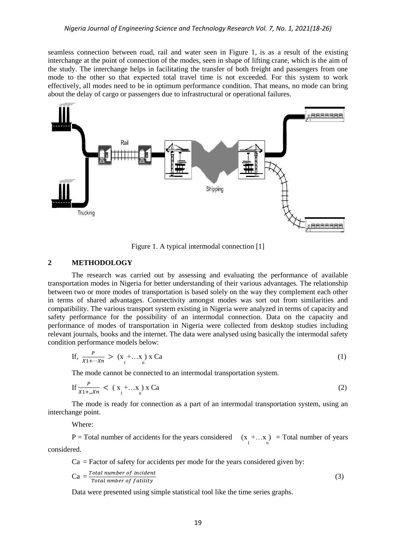seamless connection between road, rail and water seen in Figure 1, is as a result of the existing interchange at the point of connection of the modes, seen in shape of lifting crane, which is the aim of the study. The interchange helps in facilitating the transfer of both freight and passengers from one mode to the other so that expected total travel time is not exceeded. For this system to work effectively, all modes need to be in optimum performance condition. That means, no mode can bring about the delay of cargo or passengers due to infrastructural or operational failures.



Figure 1. A typical intermodal connection [1]

## **2 METHODOLOGY**

The research was carried out by assessing and evaluating the performance of available transportation modes in Nigeria for better understanding of their various advantages. The relationship between two or more modes of transportation is based solely on the way they complement each other in terms of shared advantages. Connectivity amongst modes was sort out from similarities and compatibility. The various transport system existing in Nigeria were analyzed in terms of capacity and safety performance for the possibility of an intermodal connection. Data on the capacity and performance of modes of transportation in Nigeria were collected from desktop studies including relevant journals, books and the internet. The data were analysed using basically the intermodal safety condition performance models below:

If, 
$$
\frac{P}{X_1 + \dots + X_n} > (x_1 + \dots x_n) \times Ca
$$
 (1)

The mode cannot be connected to an intermodal transportation system.

$$
\text{If } \frac{P}{X1 + \dots Xn} < (X_1 + \dots X_n) \ge Ca \tag{2}
$$

The mode is ready for connection as a part of an intermodal transportation system, using an interchange point.

Where:

P = Total number of accidents for the years considered  $(x + ... x)$  = Total number of years considered.

 $Ca = Factor$  of safety for accidents per mode for the years considered given by:

$$
Ca = \frac{Total\ number\ of\ incident}{Total\ number\ of\ facility} \tag{3}
$$

Data were presented using simple statistical tool like the time series graphs.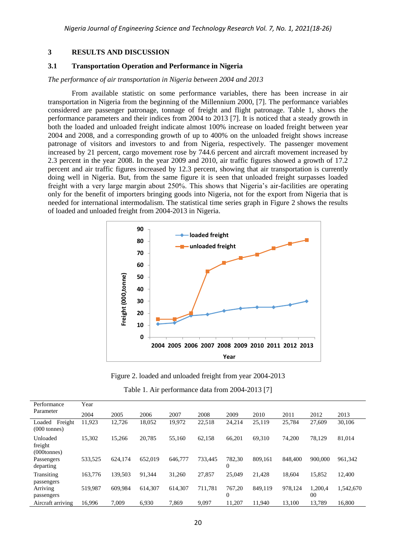#### **3 RESULTS AND DISCUSSION**

### **3.1 Transportation Operation and Performance in Nigeria**

#### *The performance of air transportation in Nigeria between 2004 and 2013*

From available statistic on some performance variables, there has been increase in air transportation in Nigeria from the beginning of the Millennium 2000, [7]. The performance variables considered are passenger patronage, tonnage of freight and flight patronage. Table 1, shows the performance parameters and their indices from 2004 to 2013 [7]. It is noticed that a steady growth in both the loaded and unloaded freight indicate almost 100% increase on loaded freight between year 2004 and 2008, and a corresponding growth of up to 400% on the unloaded freight shows increase patronage of visitors and investors to and from Nigeria, respectively. The passenger movement increased by 21 percent, cargo movement rose by 744.6 percent and aircraft movement increased by 2.3 percent in the year 2008. In the year 2009 and 2010, air traffic figures showed a growth of 17.2 percent and air traffic figures increased by 12.3 percent, showing that air transportation is currently doing well in Nigeria. But, from the same figure it is seen that unloaded freight surpasses loaded freight with a very large margin about 250%. This shows that Nigeria's air-facilities are operating only for the benefit of importers bringing goods into Nigeria, not for the export from Nigeria that is needed for international intermodalism. The statistical time series graph in Figure 2 shows the results of loaded and unloaded freight from 2004-2013 in Nigeria.



Figure 2. loaded and unloaded freight from year 2004-2013

|  | Table 1. Air performance data from 2004-2013 [7] |  |  |  |
|--|--------------------------------------------------|--|--|--|
|--|--------------------------------------------------|--|--|--|

| Performance                                  | Year    |         |         |         |         |                          |         |         |               |           |
|----------------------------------------------|---------|---------|---------|---------|---------|--------------------------|---------|---------|---------------|-----------|
| Parameter                                    | 2004    | 2005    | 2006    | 2007    | 2008    | 2009                     | 2010    | 2011    | 2012          | 2013      |
| Freight<br>Loaded<br>$(000 \text{ tonnes})$  | 11,923  | 12,726  | 18,052  | 19,972  | 22,518  | 24,214                   | 25,119  | 25,784  | 27,609        | 30,106    |
| Unloaded<br>freight<br>$(000 \text{tonnes})$ | 15,302  | 15,266  | 20,785  | 55,160  | 62,158  | 66,201                   | 69,310  | 74,200  | 78,129        | 81,014    |
| Passengers<br>departing                      | 533,525 | 624,174 | 652,019 | 646,777 | 733.445 | 782,30<br>$\overline{0}$ | 809.161 | 848,400 | 900,000       | 961,342   |
| Transiting<br>passengers                     | 163,776 | 139.503 | 91.344  | 31.260  | 27,857  | 25,049                   | 21.428  | 18.604  | 15,852        | 12.400    |
| Arriving<br>passengers                       | 519.987 | 609.984 | 614,307 | 614.307 | 711.781 | 767.20<br>$\Omega$       | 849.119 | 978.124 | 1.200.4<br>00 | 1.542.670 |
| Aircraft arriving                            | 16,996  | 7,009   | 6,930   | 7,869   | 9,097   | 11.207                   | 11,940  | 13.100  | 13,789        | 16,800    |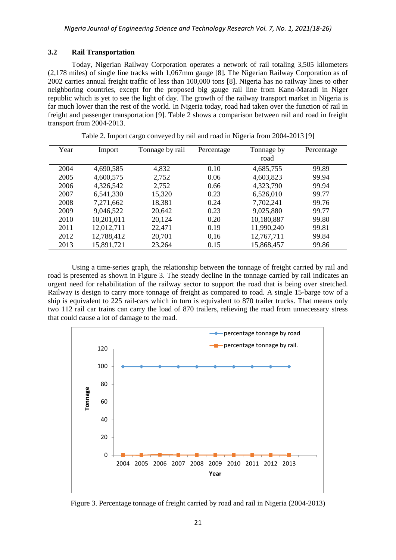# **3.2 Rail Transportation**

Today, Nigerian Railway Corporation operates a network of rail totaling 3,505 kilometers (2,178 miles) of single line tracks with 1,067mm gauge [8]. The Nigerian Railway Corporation as of 2002 carries annual freight traffic of less than 100,000 tons [8]. Nigeria has no railway lines to other neighboring countries, except for the proposed big gauge rail line from Kano-Maradi in Niger republic which is yet to see the light of day. The growth of the railway transport market in Nigeria is far much lower than the rest of the world. In Nigeria today, road had taken over the function of rail in freight and passenger transportation [9]. Table 2 shows a comparison between rail and road in freight transport from 2004-2013.

| Year | Import     | Tonnage by rail | Percentage | Tonnage by<br>road | Percentage |
|------|------------|-----------------|------------|--------------------|------------|
| 2004 | 4,690,585  | 4,832           | 0.10       | 4,685,755          | 99.89      |
| 2005 | 4,600,575  | 2,752           | 0.06       | 4,603,823          | 99.94      |
| 2006 | 4,326,542  | 2,752           | 0.66       | 4,323,790          | 99.94      |
| 2007 | 6,541,330  | 15,320          | 0.23       | 6,526,010          | 99.77      |
| 2008 | 7,271,662  | 18,381          | 0.24       | 7,702,241          | 99.76      |
| 2009 | 9,046,522  | 20,642          | 0.23       | 9,025,880          | 99.77      |
| 2010 | 10,201,011 | 20,124          | 0.20       | 10,180,887         | 99.80      |
| 2011 | 12,012,711 | 22,471          | 0.19       | 11,990,240         | 99.81      |
| 2012 | 12,788,412 | 20,701          | 0,16       | 12,767,711         | 99.84      |
| 2013 | 15,891,721 | 23,264          | 0.15       | 15,868,457         | 99.86      |

Table 2. Import cargo conveyed by rail and road in Nigeria from 2004-2013 [9]

Using a time-series graph, the relationship between the tonnage of freight carried by rail and road is presented as shown in Figure 3. The steady decline in the tonnage carried by rail indicates an urgent need for rehabilitation of the railway sector to support the road that is being over stretched. Railway is design to carry more tonnage of freight as compared to road. A single 15-barge tow of a ship is equivalent to 225 rail-cars which in turn is equivalent to 870 trailer trucks. That means only two 112 rail car trains can carry the load of 870 trailers, relieving the road from unnecessary stress that could cause a lot of damage to the road.



Figure 3. Percentage tonnage of freight carried by road and rail in Nigeria (2004-2013)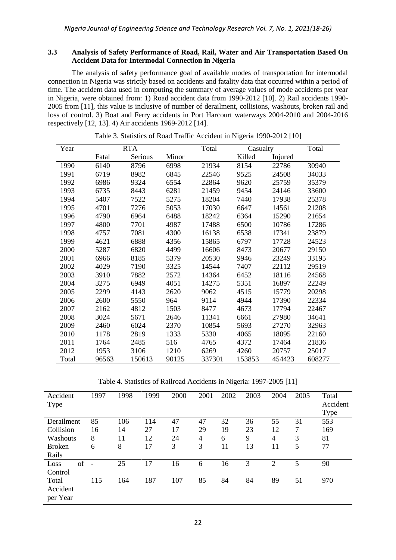## **3.3 Analysis of Safety Performance of Road, Rail, Water and Air Transportation Based On Accident Data for Intermodal Connection in Nigeria**

The analysis of safety performance goal of available modes of transportation for intermodal connection in Nigeria was strictly based on accidents and fatality data that occurred within a period of time. The accident data used in computing the summary of average values of mode accidents per year in Nigeria, were obtained from: 1) Road accident data from 1990-2012 [10]. 2) Rail accidents 1990- 2005 from [11], this value is inclusive of number of derailment, collisions, washouts, broken rail and loss of control. 3) Boat and Ferry accidents in Port Harcourt waterways 2004-2010 and 2004-2016 respectively [12, 13]. 4) Air accidents 1969-2012 [14].

| Year  |       | <b>RTA</b> |       | Total  | Casualty |         | Total  |
|-------|-------|------------|-------|--------|----------|---------|--------|
|       | Fatal | Serious    | Minor |        | Killed   | Injured |        |
| 1990  | 6140  | 8796       | 6998  | 21934  | 8154     | 22786   | 30940  |
| 1991  | 6719  | 8982       | 6845  | 22546  | 9525     | 24508   | 34033  |
| 1992  | 6986  | 9324       | 6554  | 22864  | 9620     | 25759   | 35379  |
| 1993  | 6735  | 8443       | 6281  | 21459  | 9454     | 24146   | 33600  |
| 1994  | 5407  | 7522       | 5275  | 18204  | 7440     | 17938   | 25378  |
| 1995  | 4701  | 7276       | 5053  | 17030  | 6647     | 14561   | 21208  |
| 1996  | 4790  | 6964       | 6488  | 18242  | 6364     | 15290   | 21654  |
| 1997  | 4800  | 7701       | 4987  | 17488  | 6500     | 10786   | 17286  |
| 1998  | 4757  | 7081       | 4300  | 16138  | 6538     | 17341   | 23879  |
| 1999  | 4621  | 6888       | 4356  | 15865  | 6797     | 17728   | 24523  |
| 2000  | 5287  | 6820       | 4499  | 16606  | 8473     | 20677   | 29150  |
| 2001  | 6966  | 8185       | 5379  | 20530  | 9946     | 23249   | 33195  |
| 2002  | 4029  | 7190       | 3325  | 14544  | 7407     | 22112   | 29519  |
| 2003  | 3910  | 7882       | 2572  | 14364  | 6452     | 18116   | 24568  |
| 2004  | 3275  | 6949       | 4051  | 14275  | 5351     | 16897   | 22249  |
| 2005  | 2299  | 4143       | 2620  | 9062   | 4515     | 15779   | 20298  |
| 2006  | 2600  | 5550       | 964   | 9114   | 4944     | 17390   | 22334  |
| 2007  | 2162  | 4812       | 1503  | 8477   | 4673     | 17794   | 22467  |
| 2008  | 3024  | 5671       | 2646  | 11341  | 6661     | 27980   | 34641  |
| 2009  | 2460  | 6024       | 2370  | 10854  | 5693     | 27270   | 32963  |
| 2010  | 1178  | 2819       | 1333  | 5330   | 4065     | 18095   | 22160  |
| 2011  | 1764  | 2485       | 516   | 4765   | 4372     | 17464   | 21836  |
| 2012  | 1953  | 3106       | 1210  | 6269   | 4260     | 20757   | 25017  |
| Total | 96563 | 150613     | 90125 | 337301 | 153853   | 454423  | 608277 |

Table 3. Statistics of Road Traffic Accident in Nigeria 1990-2012 [10]

Table 4. Statistics of Railroad Accidents in Nigeria: 1997-2005 [11]

| Accident<br>Type | 1997           | 1998 | 1999 | 2000 | 2001 | 2002 | 2003 | 2004           | 2005 | Total<br>Accident<br>Type |
|------------------|----------------|------|------|------|------|------|------|----------------|------|---------------------------|
| Derailment       | 85             | 106  | 114  | 47   | 47   | 32   | 36   | 55             | 31   | 553                       |
| Collision        | 16             | 14   | 27   | 17   | 29   | 19   | 23   | 12             | 7    | 169                       |
| Washouts         | 8              | 11   | 12   | 24   | 4    | 6    | 9    | 4              | 3    | 81                        |
| <b>Broken</b>    | 6              | 8    | 17   | 3    | 3    | 11   | 13   | 11             | 5    | 77                        |
| Rails            |                |      |      |      |      |      |      |                |      |                           |
| of<br>Loss       | $\overline{a}$ | 25   | 17   | 16   | 6    | 16   | 3    | $\overline{2}$ | 5    | 90                        |
| Control          |                |      |      |      |      |      |      |                |      |                           |
| Total            | 115            | 164  | 187  | 107  | 85   | 84   | 84   | 89             | 51   | 970                       |
| Accident         |                |      |      |      |      |      |      |                |      |                           |
| per Year         |                |      |      |      |      |      |      |                |      |                           |
|                  |                |      |      |      |      |      |      |                |      |                           |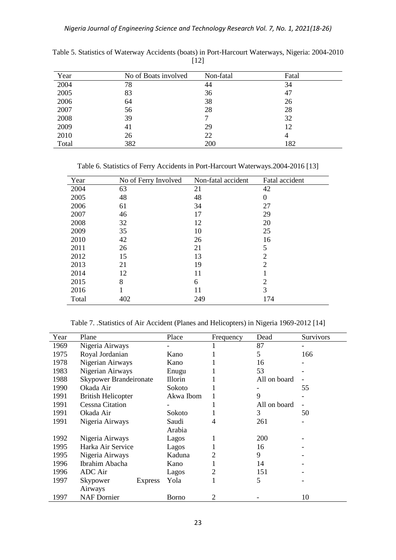| Year  | No of Boats involved | Non-fatal | Fatal |
|-------|----------------------|-----------|-------|
| 2004  | 78                   | 44        | 34    |
| 2005  | 83                   | 36        | 47    |
| 2006  | 64                   | 38        | 26    |
| 2007  | 56                   | 28        | 28    |
| 2008  | 39                   |           | 32    |
| 2009  | 41                   | 29        | 12    |
| 2010  | 26                   | 22        | 4     |
| Total | 382                  | 200       | 182   |

Table 5. Statistics of Waterway Accidents (boats) in Port-Harcourt Waterways, Nigeria: 2004-2010 [12]

Table 6. Statistics of Ferry Accidents in Port-Harcourt Waterways.2004-2016 [13]

| Year  | No of Ferry Involved | Non-fatal accident | Fatal accident   |
|-------|----------------------|--------------------|------------------|
| 2004  | 63                   | 21                 | 42               |
| 2005  | 48                   | 48                 | $\boldsymbol{0}$ |
| 2006  | 61                   | 34                 | 27               |
| 2007  | 46                   | 17                 | 29               |
| 2008  | 32                   | 12                 | 20               |
| 2009  | 35                   | 10                 | 25               |
| 2010  | 42                   | 26                 | 16               |
| 2011  | 26                   | 21                 | 5                |
| 2012  | 15                   | 13                 | $\overline{2}$   |
| 2013  | 21                   | 19                 | 2                |
| 2014  | 12                   | 11                 |                  |
| 2015  | 8                    | 6                  | 2                |
| 2016  |                      | 11                 | 3                |
| Total | 402                  | 249                | 174              |

Table 7. .Statistics of Air Accident (Planes and Helicopters) in Nigeria 1969-2012 [14]

| Year | Plane                         | Place          | Frequency      | Dead         | <b>Survivors</b> |
|------|-------------------------------|----------------|----------------|--------------|------------------|
| 1969 | Nigeria Airways               |                |                | 87           |                  |
| 1975 | Royal Jordanian               | Kano           |                | 5            | 166              |
| 1978 | Nigerian Airways              | Kano           |                | 16           |                  |
| 1983 | Nigerian Airways              | Enugu          |                | 53           |                  |
| 1988 | <b>Skypower Brandeironate</b> | <b>Illorin</b> |                | All on board |                  |
| 1990 | Okada Air                     | Sokoto         |                |              | 55               |
| 1991 | <b>British Helicopter</b>     | Akwa Ibom      |                | 9            |                  |
| 1991 | <b>Cessna Citation</b>        |                |                | All on board |                  |
| 1991 | Okada Air                     | Sokoto         |                | 3            | 50               |
| 1991 | Nigeria Airways               | Saudi          | 4              | 261          |                  |
|      |                               | Arabia         |                |              |                  |
| 1992 | Nigeria Airways               | Lagos          |                | 200          |                  |
| 1995 | Harka Air Service             | Lagos          |                | 16           |                  |
| 1995 | Nigeria Airways               | Kaduna         | 2              | 9            |                  |
| 1996 | Ibrahim Abacha                | Kano           |                | 14           |                  |
| 1996 | <b>ADC</b> Air                | Lagos          | 2              | 151          |                  |
| 1997 | Skypower<br><b>Express</b>    | Yola           |                | 5            |                  |
|      | Airways                       |                |                |              |                  |
| 1997 | <b>NAF</b> Dornier            | Borno          | $\overline{2}$ |              | 10               |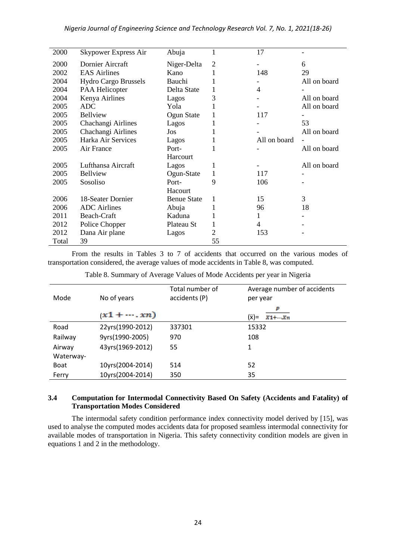| 2000  | Skypower Express Air        | Abuja              | 1  | 17           |              |
|-------|-----------------------------|--------------------|----|--------------|--------------|
| 2000  | Dornier Aircraft            | Niger-Delta        | 2  |              | 6            |
| 2002  | <b>EAS Airlines</b>         | Kano               | 1  | 148          | 29           |
| 2004  | <b>Hydro Cargo Brussels</b> | Bauchi             |    |              | All on board |
| 2004  | PAA Helicopter              | Delta State        | 1  | 4            |              |
| 2004  | Kenya Airlines              | Lagos              | 3  |              | All on board |
| 2005  | <b>ADC</b>                  | Yola               | 1  |              | All on board |
| 2005  | Bellview                    | Ogun State         | 1  | 117          |              |
| 2005  | Chachangi Airlines          | Lagos              | 1  |              | 53           |
| 2005  | Chachangi Airlines          | Jos                |    |              | All on board |
| 2005  | Harka Air Services          | Lagos              | 1  | All on board |              |
| 2005  | Air France                  | Port-              |    |              | All on board |
|       |                             | Harcourt           |    |              |              |
| 2005  | Lufthansa Aircraft          | Lagos              | 1  |              | All on board |
| 2005  | Bellview                    | Ogun-State         | 1  | 117          |              |
| 2005  | Sosoliso                    | Port-              | 9  | 106          |              |
|       |                             | Hacourt            |    |              |              |
| 2006  | 18-Seater Dornier           | <b>Benue State</b> | 1  | 15           | 3            |
| 2006  | <b>ADC</b> Airlines         | Abuja              | 1  | 96           | 18           |
| 2011  | Beach-Craft                 | Kaduna             | 1  | 1            |              |
| 2012  | Police Chopper              | Plateau St         | 1  | 4            |              |
| 2012  | Dana Air plane              | Lagos              | 2  | 153          |              |
| Total | 39                          |                    | 55 |              |              |

From the results in Tables 3 to 7 of accidents that occurred on the various modes of transportation considered, the average values of mode accidents in Table 8, was computed.

| Table 8. Summary of Average Values of Mode Accidents per year in Nigeria |  |
|--------------------------------------------------------------------------|--|
|                                                                          |  |

| Mode        | No of years      | Total number of<br>accidents (P) | Average number of accidents<br>per year |
|-------------|------------------|----------------------------------|-----------------------------------------|
|             | $(x1+\cdots,xn)$ |                                  | $(\ddot{x})=$<br>$X1 + \cdots Xn$       |
| Road        | 22yrs(1990-2012) | 337301                           | 15332                                   |
| Railway     | 9yrs(1990-2005)  | 970                              | 108                                     |
| Airway      | 43yrs(1969-2012) | 55                               | 1                                       |
| Waterway-   |                  |                                  |                                         |
| <b>Boat</b> | 10yrs(2004-2014) | 514                              | 52                                      |
| Ferry       | 10yrs(2004-2014) | 350                              | 35                                      |

# **3.4 Computation for Intermodal Connectivity Based On Safety (Accidents and Fatality) of Transportation Modes Considered**

The intermodal safety condition performance index connectivity model derived by [15], was used to analyse the computed modes accidents data for proposed seamless intermodal connectivity for available modes of transportation in Nigeria. This safety connectivity condition models are given in equations 1 and 2 in the methodology.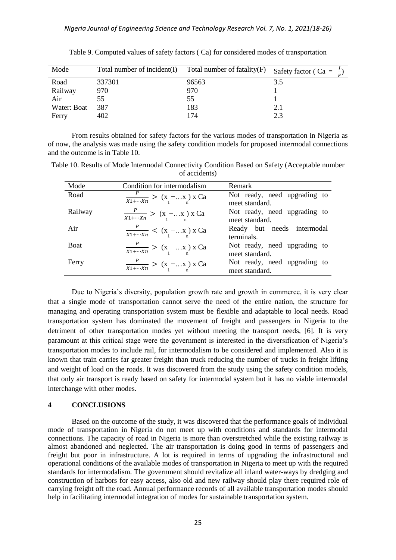| Mode        | Total number of incident(I) Total number of fatality $(F)$ |       | Safety factor ( Ca = $\frac{1}{b}$ ) |
|-------------|------------------------------------------------------------|-------|--------------------------------------|
| Road        | 337301                                                     | 96563 | 3.5                                  |
| Railway     | 970                                                        | 970   |                                      |
| Air         | 55                                                         | 55    |                                      |
| Water: Boat | 387                                                        | 183   | 2.1                                  |
| Ferry       | 402                                                        | 174   | 2.3                                  |

Table 9. Computed values of safety factors ( Ca) for considered modes of transportation

From results obtained for safety factors for the various modes of transportation in Nigeria as of now, the analysis was made using the safety condition models for proposed intermodal connections and the outcome is in Table 10.

Table 10. Results of Mode Intermodal Connectivity Condition Based on Safety (Acceptable number of accidents)

| Mode        | Condition for intermodalism                                   | Remark                                         |
|-------------|---------------------------------------------------------------|------------------------------------------------|
| Road        | $\frac{P}{X_1 + \cdots X_n}$ > $(x_1 + \ldots x_n)$ x Ca      | Not ready, need upgrading to<br>meet standard. |
| Railway     | $\frac{P}{X_1 + \cdots X_n}$ > $(x_1 + \ldots x_n)$ x Ca      | Not ready, need upgrading to<br>meet standard. |
| Air         | $\frac{r}{x_1 + \cdots + x_n} < (x_1 + \ldots x_n) \times Ca$ | Ready but needs intermodal<br>terminals.       |
| <b>Boat</b> | $\frac{P}{X_1 + \cdots X_n}$ > $(x_1 + \ldots x_n)$ x Ca      | Not ready, need upgrading to<br>meet standard. |
| Ferry       | $\frac{P}{X_1 + \cdots X_n}$ > $(x_1 + \ldots x_n)$ x Ca      | Not ready, need upgrading to<br>meet standard. |

Due to Nigeria's diversity, population growth rate and growth in commerce, it is very clear that a single mode of transportation cannot serve the need of the entire nation, the structure for managing and operating transportation system must be flexible and adaptable to local needs. Road transportation system has dominated the movement of freight and passengers in Nigeria to the detriment of other transportation modes yet without meeting the transport needs, [6]. It is very paramount at this critical stage were the government is interested in the diversification of Nigeria's transportation modes to include rail, for intermodalism to be considered and implemented. Also it is known that train carries far greater freight than truck reducing the number of trucks in freight lifting and weight of load on the roads. It was discovered from the study using the safety condition models, that only air transport is ready based on safety for intermodal system but it has no viable intermodal interchange with other modes.

## **4 CONCLUSIONS**

Based on the outcome of the study, it was discovered that the performance goals of individual mode of transportation in Nigeria do not meet up with conditions and standards for intermodal connections. The capacity of road in Nigeria is more than overstretched while the existing railway is almost abandoned and neglected. The air transportation is doing good in terms of passengers and freight but poor in infrastructure. A lot is required in terms of upgrading the infrastructural and operational conditions of the available modes of transportation in Nigeria to meet up with the required standards for intermodalism. The government should revitalize all inland water-ways by dredging and construction of harbors for easy access, also old and new railway should play there required role of carrying freight off the road. Annual performance records of all available transportation modes should help in facilitating intermodal integration of modes for sustainable transportation system.